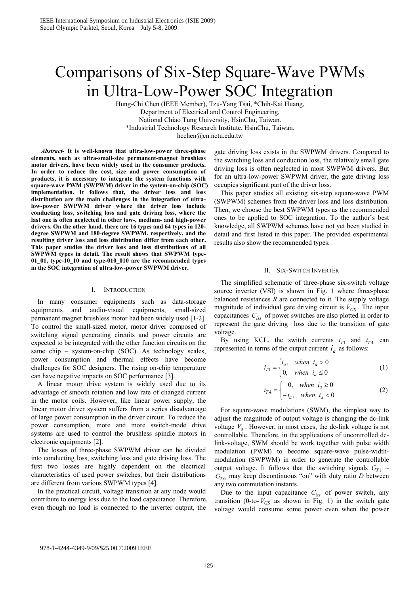# Comparisons of Six-Step Square-Wave PWMs in Ultra-Low-Power SOC Integration

Hung-Chi Chen (IEEE Member), Tzu-Yang Tsai, \*Chih-Kai Huang, Department of Electrical and Control Engineering, National Chiao Tung University, HsinChu, Taiwan. \*Industrial Technology Research Institute, HsinChu, Taiwan. hcchen@cn.nctu.edu.tw

*Abstract-* **It is well-known that ultra-low-power three-phase elements, such as ultra-small-size permanent-magnet brushless motor drivers, have been widely used in the consumer products. In order to reduce the cost, size and power consumption of products, it is necessary to integrate the system functions with square-wave PWM (SWPWM) driver in the system-on-chip (SOC) implementation. It follows that, the driver loss and loss distribution are the main challenges in the integration of ultralow-power SWPWM driver where the driver loss include conducting loss, switching loss and gate driving loss, where the last one is often neglected in other low-, medium- and high-power drivers. On the other hand, there are 16 types and 64 types in 120 degree SWPWM and 180-degree SWPWM, respectively, and the resulting driver loss and loss distribution differ from each other. This paper studies the driver loss and loss distributions of all SWPWM types in detail. The result shows that SWPWM type-01\_01, type-10\_10 and type-010\_010 are the recommended types in the SOC integration of ultra-low-power SWPWM driver.** 

#### I. INTRODUCTION

In many consumer equipments such as data-storage equipments and audio-visual equipments, small-sized permanent magnet brushless motor had been widely used [1-2]. To control the small-sized motor, motor driver composed of switching signal generating circuits and power circuits are expected to be integrated with the other function circuits on the same chip – system-on-chip (SOC). As technology scales, power consumption and thermal effects have become challenges for SOC designers. The rising on-chip temperature can have negative impacts on SOC performance [3].

A linear motor drive system is widely used due to its advantage of smooth rotation and low rate of changed current in the motor coils. However, like linear power supply, the linear motor driver system suffers from a series disadvantage of large power consumption in the driver circuit. To reduce the power consumption, more and more switch-mode drive systems are used to control the brushless spindle motors in electronic equipments [2].

The losses of three-phase SWPWM driver can be divided into conducting loss, switching loss and gate driving loss. The first two losses are highly dependent on the electrical characteristics of used power switches, but their distributions are different from various SWPWM types [4].

In the practical circuit, voltage transition at any node would contribute to energy loss due to the load capacitance. Therefore, even though no load is connected to the inverter output, the

gate driving loss exists in the SWPWM drivers. Compared to the switching loss and conduction loss, the relatively small gate driving loss is often neglected in most SWPWM drivers. But for an ultra-low-power SWPWM driver, the gate driving loss occupies significant part of the driver loss.

This paper studies all existing six-step square-wave PWM (SWPWM) schemes from the driver loss and loss distribution. Then, we choose the best SWPWM types as the recommended ones to be applied to SOC integration. To the author's best knowledge, all SWPWM schemes have not yet been studied in detail and first listed in this paper. The provided experimental results also show the recommended types.

#### II. SIX-SWITCH INVERTER

The simplified schematic of three-phase six-switch voltage source inverter (VSI) is shown in Fig. 1 where three-phase balanced resistances  $R$  are connected to it. The supply voltage magnitude of individual gate driving circuit is  $V_{GS}$ . The input capacitances *Ciss* of power switches are also plotted in order to represent the gate driving loss due to the transition of gate voltage.

By using KCL, the switch currents  $i_{T1}$  and  $i_{T4}$  can represented in terms of the output current  $i_a$  as follows:

$$
i_{T1} = \begin{cases} i_a, & when \ i_a > 0 \\ 0, & when \ i_a \le 0 \end{cases}
$$
 (1)

$$
i_{T4} = \begin{cases} 0, & when i_a \ge 0 \\ -i_a, & when i_a < 0 \end{cases}
$$
 (2)

For square-wave modulations (SWM), the simplest way to adjust the magnitude of output voltage is changing the dc-link voltage  $V_d$ . However, in most cases, the dc-link voltage is not controllable. Therefore, in the applications of uncontrolled dclink-voltage, SWM should be work together with pulse width modulation (PWM) to become square-wave pulse-widthmodulation (SWPWM) in order to generate the controllable output voltage. It follows that the switching signals  $G_{T1} \sim$  $G_{T6}$  may keep discontinuous "on" with duty ratio *D* between any two commutation instants.

Due to the input capacitance *Ciss* of power switch, any transition (0-to- $V_{GS}$  as shown in Fig. 1) in the switch gate voltage would consume some power even when the power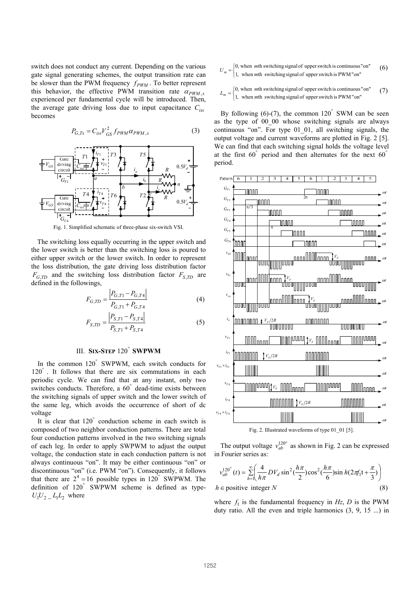switch does not conduct any current. Depending on the various gate signal generating schemes, the output transition rate can be slower than the PWM frequency  $f_{PWM}$ . To better represent this behavior, the effective PWM transition rate  $\alpha_{PWM}$ experienced per fundamental cycle will be introduced. Then, the average gate driving loss due to input capacitance *Ciss* becomes

$$
P_{G,Tx} = C_{iss} V_{GS}^2 f_{PWM} \alpha_{PWM,x}
$$
 (3)



Fig. 1. Simplified schematic of three-phase six-switch VSI.

The switching loss equally occurring in the upper switch and the lower switch is better than the switching loss is poured to either upper switch or the lower switch. In order to represent the loss distribution, the gate driving loss distribution factor  $F_{GTD}$  and the switching loss distribution factor  $F_{STD}$  are defined in the followings,

$$
F_{G,TD} = \frac{\left| P_{G,T1} - P_{G,T4} \right|}{P_{G,T1} + P_{G,T4}}
$$
\n(4)

$$
F_{S,TD} = \frac{\left| P_{S,T1} - P_{S,T4} \right|}{P_{S,T1} + P_{S,T4}}
$$
\n(5)

## III. SIX-STEP 120° SWPWM

In the common  $120^\circ$  SWPWM, each switch conducts for  $120^\circ$ . It follows that there are six commutations in each periodic cycle. We can find that at any instant, only two switches conducts. Therefore, a  $60^\circ$  dead-time exists between the switching signals of upper switch and the lower switch of the same leg, which avoids the occurrence of short of dc voltage

It is clear that  $120^{\circ}$  conduction scheme in each switch is composed of two neighbor conduction patterns. There are total four conduction patterns involved in the two switching signals of each leg. In order to apply SWPWM to adjust the output voltage, the conduction state in each conduction pattern is not always continuous "on". It may be either continuous "on" or discontinuous "on" (i.e. PWM "on"). Consequently, it follows that there are  $2^4 = 16$  possible types in 120° SWPWM. The definition of  $120^\circ$  SWPWM scheme is defined as type- $U_1 U_2$ <sub>-</sub> $L_1 L_2$  where

$$
U_m = \begin{cases} 0, \text{ when } m\text{th switching signal of upper switch is continuous "on"} \\ 1, \text{ when } m\text{th switching signal of upper switch is PWM "on"} \end{cases} \tag{6}
$$

$$
L_m = \begin{cases} 0, \text{ when } m\text{th switching signal of upper switch is continuous "on"} \\ 1, \text{ when } m\text{th switching signal of upper switch is PWM "on"} \end{cases} \tag{7}
$$

By following  $(6)-(7)$ , the common  $120^\circ$  SWM can be seen as the type of 00\_00 whose switching signals are always continuous "on". For type 01\_01, all switching signals, the output voltage and current waveforms are plotted in Fig. 2 [5]. We can find that each switching signal holds the voltage level at the first  $60^\circ$  period and then alternates for the next  $60^\circ$ period.



Fig. 2. Illustrated waveforms of type 01\_01 [5].

The output voltage  $v_{ab}^{120^\circ}$  as shown in Fig. 2 can be expressed in Fourier series as:

$$
v_{ab}^{120^{\circ}}(t) = \sum_{h=1}^{\infty} \left( \frac{4}{h\pi} D V_d \sin^2(\frac{h\pi}{2}) \cos^2(\frac{h\pi}{6}) \sin h(2\pi f_1 t + \frac{\pi}{3}) \right)
$$
  
  $h \in \text{positive integer } N$  (8)

where  $f_1$  is the fundamental frequency in  $Hz$ ,  $D$  is the PWM duty ratio. All the even and triple harmonics (3, 9, 15 ...) in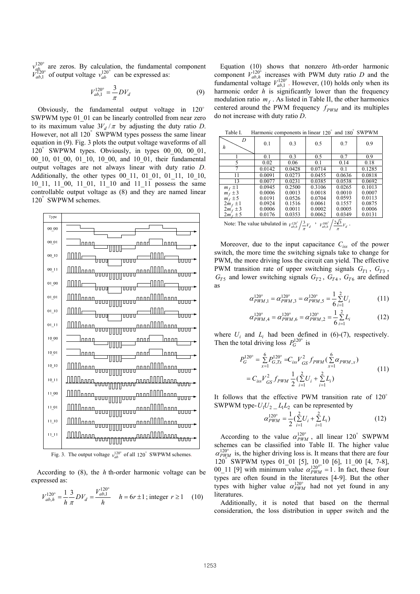$v_{ab}^{120^\circ}$  are zeros. By calculation, the fundamental component  $V_{ab,1}^{120^\circ}$  of output voltage  $v_{ab}^{120^\circ}$  can be expressed as:

$$
V_{ab,1}^{120^{\circ}} = \frac{3}{\pi} D V_d \tag{9}
$$

Obviously, the fundamental output voltage in  $120^\circ$ SWPWM type 01\_01 can be linearly controlled from near zero to its maximum value  $3V_d / \pi$  by adjusting the duty ratio *D*. However, not all 120° SWPWM types possess the same linear equation in (9). Fig. 3 plots the output voltage waveforms of all  $120^\circ$  SWPWM types. Obviously, in types 00\_00, 00\_01, 00 10, 01 00, 01 10, 10 00, and 10 01, their fundamental output voltages are not always linear with duty ratio *D*. Additionally, the other types 00\_11, 01\_01, 01\_11, 10\_10, 10\_11, 11\_00, 11\_01, 11\_10 and 11\_11 possess the same controllable output voltage as (8) and they are named linear 120° SWPWM schemes.



Fig. 3. The output voltage  $v_{ab}^{120^{\circ}}$  of all 120° SWPWM schemes.

According to (8), the *h* th-order harmonic voltage can be expressed as:

$$
V_{ab,h}^{120^\circ} = \frac{1}{h} \frac{3}{\pi} D V_d = \frac{V_{ab,1}^{120^\circ}}{h} \qquad h = 6r \pm 1 \; \text{integer} \; r \ge 1 \tag{10}
$$

Equation (10) shows that nonzero *h*th-order harmonic component  $V_{ab,h}^{120^\circ}$  increases with PWM duty ratio *D* and the fundamental voltage  $V_{ab,1}^{120^\circ}$ . However, (10) holds only when its harmonic order *h* is significantly lower than the frequency modulation ratio  $m_f$ . As listed in Table II, the other harmonics centered around the PWM frequency  $f_{PWM}$  and its multiples do not increase with duty ratio *D*.

Table I. Harmonic components in linear 120° and 180° SWPWM

| D<br>h                                                                      | 0.1    | 0.3    | 0.5    | 0.7    | 0.9    |  |
|-----------------------------------------------------------------------------|--------|--------|--------|--------|--------|--|
|                                                                             | 0.1    | 0.3    | 0.5    | 0.7    | 0.9    |  |
| 5                                                                           | 0.02   | 0.06   | 0.1    | 0.14   | 0.18   |  |
|                                                                             | 0.0142 | 0.0428 | 0.0714 | 0.1    | 0.1285 |  |
| 11                                                                          | 0.0091 | 0.0273 | 0.0455 | 0.0636 | 0.0818 |  |
| 13                                                                          | 0.0077 | 0.0231 | 0.0385 | 0.0538 | 0.0692 |  |
| $m_f \pm 1$                                                                 | 0.0945 | 0.2500 | 0.3106 | 0.0265 | 0.1013 |  |
| $m_f \pm 3$                                                                 | 0.0006 | 0.0013 | 0.0018 | 0.0010 | 0.0007 |  |
| $m_f \pm 5$                                                                 | 0.0191 | 0.0526 | 0.0704 | 0.0593 | 0.0113 |  |
| $2m_f \pm 1$                                                                | 0.0924 | 0.1516 | 0.0061 | 0.1557 | 0.0875 |  |
| $2m_f \pm 3$                                                                | 0.0006 | 0.0011 | 0.0002 | 0.0005 | 0.0006 |  |
| $2m_f \pm 5$                                                                | 0.0176 | 0.0353 | 0.0062 | 0.0349 | 0.0131 |  |
| $2\sqrt{3}$<br>Note: The value tabulated in $-120^\circ/3$<br>$100^{\circ}$ |        |        |        |        |        |  |

Note: The value tabulated in  $V_{ab,h}^{120^{\circ}} \left( \frac{3}{\pi} V_d \right)$ ,  $V_{ab,h}^{180^{\circ}} \left( \frac{2\sqrt{3}}{\pi} V_d \right)$ .

Moreover, due to the input capacitance  $C_{iss}$  of the power switch, the more time the switching signals take to change for PWM, the more driving loss the circuit can yield. The effective PWM transition rate of upper switching signals  $G_{T1}$ ,  $G_{T3}$ ,  $G_{T5}$  and lower switching signals  $G_{T2}$ ,  $G_{T4}$ ,  $G_{T6}$  are defined as

$$
\alpha_{PWM,1}^{120^{\circ}} = \alpha_{PWM,3}^{120^{\circ}} = \alpha_{PWM,5}^{120^{\circ}} = \frac{1}{6} \sum_{i=1}^{2} U_i
$$
 (11)

$$
\alpha_{PWM,4}^{120^{\circ}} = \alpha_{PWM,6}^{120^{\circ}} = \alpha_{PWM,2}^{120^{\circ}} = \frac{1}{6} \sum_{i=1}^{2} L_i
$$
 (12)

where  $U_i$  and  $L_i$  had been defined in (6)-(7), respectively. Then the total driving loss  $P_G^{120^\circ}$  is

$$
P_G^{120^\circ} = \sum_{x=1}^6 P_{G,Tx}^{120^\circ} = C_{iss} V_{GS}^2 f_{PWM} (\sum_{x=1}^6 \alpha_{PWM,x})
$$
  
=  $C_{iss} V_{GS}^2 f_{PWM} \frac{1}{2} (\sum_{i=1}^2 U_i + \sum_{i=1}^2 L_i)$  (11)

It follows that the effective PWM transition rate of  $120^\circ$ SWPWM type- $U_1 U_2$   $L_1 L_2$  can be represented by

$$
\alpha_{PWM}^{120^\circ} = \frac{1}{2} (\sum_{i=1}^2 U_i + \sum_{i=1}^2 L_i)
$$
 (12)

According to the value  $\alpha_{\text{PWM}}^{120^\circ}$ , all linear 120° SWPWM schemes can be classified into Table II. The higher value  $\alpha_{PWM}^{120\degree}$  is, the higher driving loss is. It means that there are four 120° SWPWM types 01\_01 [5], 10\_10 [6], 11\_00 [4, 7-8], 00\_11 [9] with minimum value  $\alpha_{PWM}^{120^\circ} = 1$ . In fact, these four types are often found in the literatures [4-9]. But the other types with higher value  $\alpha_{\text{PWM}}^{120^\circ}$  had not yet found in any literatures.

Additionally, it is noted that based on the thermal consideration, the loss distribution in upper switch and the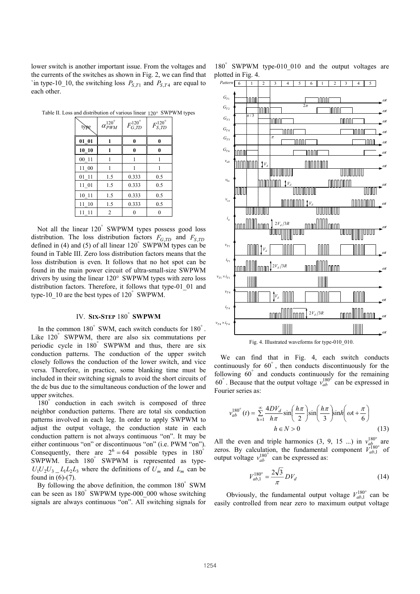lower switch is another important issue. From the voltages and the currents of the switches as shown in Fig. 2, we can find that `in type-10\_10, the switching loss  $P_{S,T1}$  and  $P_{S,T4}$  are equal to each other.

| type  | $\alpha_{PWM}^{120^{\circ}}$ | $F_{G,TD}^{120^{\circ}}$ | $F_{S,TD}^{120^{\circ}}$ |
|-------|------------------------------|--------------------------|--------------------------|
| 01 01 | 1                            | $\bf{0}$                 | $\bf{0}$                 |
| 10 10 |                              | $\bf{0}$                 | $\bf{0}$                 |
| 00 11 | 1                            | 1                        | 1                        |
| 11 00 | 1                            | 1                        |                          |
| 01 11 | 1.5                          | 0.333                    | 0.5                      |
| 11 01 | 1.5                          | 0.333                    | 0.5                      |
| 10 11 | 1.5                          | 0.333                    | 0.5                      |
| 11 10 | 1.5                          | 0.333                    | 0.5                      |
| 11    | $\overline{2}$               | 0                        | $\overline{0}$           |

Table II. Loss and distribution of various linear 120° SWPWM types

Not all the linear  $120^\circ$  SWPWM types possess good loss distribution. The loss distribution factors  $F_{G,TD}$  and  $F_{S,TD}$ defined in (4) and (5) of all linear  $120^\circ$  SWPWM types can be found in Table III. Zero loss distribution factors means that the loss distribution is even. It follows that no hot spot can be found in the main power circuit of ultra-small-size SWPWM drivers by using the linear 120° SWPWM types with zero loss distribution factors. Therefore, it follows that type-01\_01 and type-10  $\overline{10}$  are the best types of  $\overline{120}^\circ$  SWPWM.

## IV. SIX-STEP 180° SWPWM

In the common  $180^\circ$  SWM, each switch conducts for  $180^\circ$ . Like  $120^\circ$  SWPWM, there are also six commutations per periodic cycle in 180° SWPWM and thus, there are six conduction patterns. The conduction of the upper switch closely follows the conduction of the lower switch, and vice versa. Therefore, in practice, some blanking time must be included in their switching signals to avoid the short circuits of the dc bus due to the simultaneous conduction of the lower and

upper switches.<br>180° conduction in each switch is composed of three neighbor conduction patterns. There are total six conduction patterns involved in each leg. In order to apply SWPWM to adjust the output voltage, the conduction state in each conduction pattern is not always continuous "on". It may be either continuous "on" or discontinuous "on" (i.e. PWM "on"). Consequently, there are  $2^6 = 64$  possible types in 180<sup>°</sup> SWPWM. Each 180° SWPWM is represented as type- $U_1 U_2 U_3$   $L_1 L_2 L_3$  where the definitions of  $U_m$  and  $L_m$  can be found in  $(6)-(7)$ .

By following the above definition, the common  $180^\circ$  SWM can be seen as  $180^\circ$  SWPWM type-000 000 whose switching signals are always continuous "on". All switching signals for

180° SWPWM type-010 010 and the output voltages are plotted in Fig. 4.





We can find that in Fig. 4, each switch conducts continuously for  $60^\circ$ , then conducts discontinuously for the following 60° and conducts continuously for the remaining 60°. Because that the output voltage  $v_{ab}^{180°}$  can be expressed in Fourier series as:

$$
v_{ab}^{180^{\circ}}(t) = \sum_{h=1}^{\infty} \frac{4DV_d}{h\pi} \sin\left(\frac{h\pi}{2}\right) \sin\left(\frac{h\pi}{3}\right) \sinh\left(\omega t + \frac{\pi}{6}\right)
$$
  
 
$$
h \in N > 0
$$
 (13)

All the even and triple harmonics  $(3, 9, 15)$  ...) in  $v_{a}^{180^\circ}$  are zeros. By calculation, the fundamental component  $V_{ab,1}^{\text{180}^\circ}$  of  $\frac{1200 \times 180^{80}}{4}$  can be expressed as:

$$
V_{ab,1}^{180^\circ} = \frac{2\sqrt{3}}{\pi}DV_d
$$
 (14)

Obviously, the fundamental output voltage  $V_{ab,1}^{180^\circ}$  can be easily controlled from near zero to maximum output voltage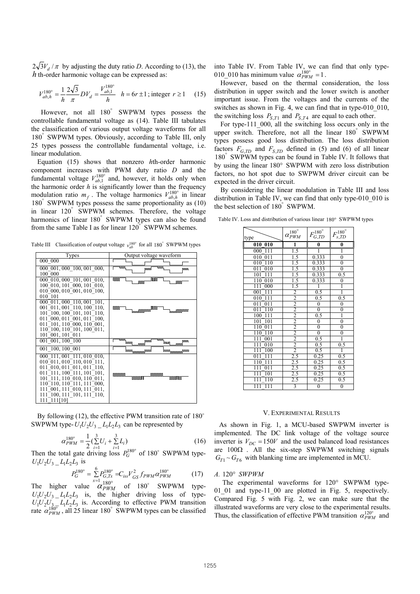$2\sqrt{3}V_d/\pi$  by adjusting the duty ratio *D*. According to (13), the *h* th-order harmonic voltage can be expressed as:

$$
V_{ab,h}^{180^\circ} = \frac{1}{h} \frac{2\sqrt{3}}{\pi} D V_d = \frac{V_{ab,1}^{180^\circ}}{h} \quad h = 6r \pm 1 \text{; integer } r \ge 1 \quad (15)
$$

However, not all 180° SWPWM types possess the controllable fundamental voltage as (14). Table III tabulates the classification of various output voltage waveforms for all 180° SWPWM types. Obviously, according to Table III, only 25 types possess the controllable fundamental voltage, i.e. linear modulation.

Equation (15) shows that nonzero *h*th-order harmonic component increases with PWM duty ratio *D* and the fundamental voltage  $V_{ab,1}^{180°}$  and, however, it holds only when the harmonic order *h* is significantly lower than the frequency modulation ratio  $m_f$ . The voltage harmonics  $V_{ab,h}^{180^\circ}$  in linear 180<sup>°</sup> SWPWM types possess the same proportionality as (10) in linear 120° SWPWM schemes. Therefore, the voltage harmonics of linear 180° SWPWM types can also be found from the same Table I as for linear  $120^\circ$  SWPWM schemes.

Table III Classification of output voltage  $v_{ab}^{180^\circ}$  for all 180° SWPWM types

| Types                                                  | Output voltage waveform                                                 |  |  |
|--------------------------------------------------------|-------------------------------------------------------------------------|--|--|
| 000 000                                                |                                                                         |  |  |
| 000 001, 000 100, 001 000,                             | ոտտ<br>TUUUL<br><b>proof</b><br>ոտտ                                     |  |  |
| 100 000                                                |                                                                         |  |  |
| 000 010, 000 101, 001 010,                             | nnnnr<br>nnnn<br>unno<br>unnr                                           |  |  |
| $100$ 010, $101$ 000, 101 010,                         |                                                                         |  |  |
| $010$ <sup>-</sup> 000, 010 <sup>-</sup> 001, 010 100, |                                                                         |  |  |
| 010 101                                                |                                                                         |  |  |
| 000 011,000 110,001 101,                               |                                                                         |  |  |
| $001^-011$ , $001^-110$ , $100^-110$ ,                 | nnnn<br><sup>10001</sup> www. <sup>00001</sup><br><b>Innellillinner</b> |  |  |
| $101^{-}100, 100^{-}101, 101^{-}110,$                  |                                                                         |  |  |
| 011 000, 011 001, 011 100,                             |                                                                         |  |  |
| $011^-101$ , $110^-000$ , $110^-001$ ,                 |                                                                         |  |  |
| $110^-100$ , $110^-101$ , $100^-011$ ,                 |                                                                         |  |  |
| 101 001, 101 011                                       | TUUTI,<br>TUTUN.                                                        |  |  |
| 001 001, 100 100                                       | nnn.<br><b>buuu</b><br>տտտ<br>nnn                                       |  |  |
| 001 100, 100 001                                       | <sup>տտտ</sup> տտտա<br>տտո <sub>տտտտա</sub> տտ                          |  |  |
| 000 111, 001 111, 010 010,                             |                                                                         |  |  |
| $010^-011, 010^-110, 010^-111,$                        |                                                                         |  |  |
| $011^-010, 011^-011, 011$ 110,                         |                                                                         |  |  |
| $011^-111$ , $100^-111$ , $101$ , $101$ ,              | nnnnnnn<br>nnnnnn                                                       |  |  |
| 101 111, 110 010, 110 011,                             | waanaan<br>uannaar                                                      |  |  |
| $110^-110$ , $110^-111$ , $111$ 000,                   |                                                                         |  |  |
| 111 001, 111 010, 111 011,                             |                                                                         |  |  |
| $111^{-}100, 111^{-}101, 111^{-}110,$                  |                                                                         |  |  |
| 111[10]                                                |                                                                         |  |  |

By following (12), the effective PWM transition rate of  $180^\circ$ SWPWM type- $U_1 U_2 U_3$   $L_1 L_2 L_3$  can be represented by

$$
\alpha_{PWM}^{180^\circ} = \frac{1}{2} (\sum_{i=1}^3 U_i + \sum_{i=1}^3 L_i)
$$
 (16)

Then the total gate driving loss  $P_G^{180^\circ}$  of 180° SWPWM type- $U_1U_2U_3 - L_1L_2L_3$  is

$$
P_G^{180^\circ} = \sum_{x=1}^6 P_{G,Tx}^{180^\circ} = C_{iss} V_{GS}^2 f_{PWM} \alpha_{PWM}^{180^\circ}
$$
 (17)

The higher value  $\alpha_{PWM}^{x=180^\circ}$  of 180° SWPWM type- $U_1U_2U_3$   $L_1L_2L_3$  is, the higher driving loss of type- $U_1 U_2 U_3 = L_1 L_2 L_3$  is. According to effective PWM transition rate  $\alpha_{PWM}^{180^\circ}$ , all 25 linear 180° SWPWM types can be classified into Table IV. From Table IV, we can find that only type-010\_010 has minimum value  $\alpha_{PWM}^{180^{\circ}} = 1$ .

However, based on the thermal consideration, the loss distribution in upper switch and the lower switch is another important issue. From the voltages and the currents of the switches as shown in Fig. 4, we can find that in type-010 010, the switching loss  $P_{S,T1}$  and  $P_{S,T4}$  are equal to each other.

For type-111 000, all the switching loss occurs only in the upper switch. Therefore, not all the linear  $180^\circ$  SWPWM types possess good loss distribution. The loss distribution factors  $F_{G,TD}$  and  $F_{S,TD}$  defined in (5) and (6) of all linear 180<sup>°</sup> SWPWM types can be found in Table IV. It follows that by using the linear 180° SWPWM with zero loss distribution factors, no hot spot due to SWPWM driver circuit can be expected in the driver circuit.

By considering the linear modulation in Table III and loss distribution in Table IV, we can find that only type-010\_010 is the best selection of 180° SWPWM.

Table IV. Loss and distribution of various linear 180° SWPWM types

| type                    | $180^{\circ}$<br>$\alpha_{\mathrm{PWM}}^{\mathrm{max}}$                                                         | $F_{G,TD}^{180^{\circ}}$ | $F^{180^{\circ}}$<br>$s$ , $TD$ |
|-------------------------|-----------------------------------------------------------------------------------------------------------------|--------------------------|---------------------------------|
| 010 010                 | 1                                                                                                               | $\bf{0}$                 | $\boldsymbol{0}$                |
| 111<br>000              | 1.5                                                                                                             |                          | 1                               |
| $\overline{011}$<br>010 | 1.5                                                                                                             | 0.333                    | $\overline{0}$                  |
| 110<br>010              | $\frac{1.5}{1.5}$<br>$\frac{1.5}{1.5}$                                                                          | $\frac{0.333}{0.333}$    | $\overline{0}$                  |
| 011<br>010              |                                                                                                                 |                          | $\overline{0}$                  |
| 111<br>101              |                                                                                                                 | 0.333                    | 0.5                             |
| 110<br>010              |                                                                                                                 | 0.333                    |                                 |
| 111<br>000              | $\overline{1.5}$                                                                                                | ī                        | $\frac{0}{1}$                   |
| 001<br>111              | $\frac{2}{2}$ $\frac{2}{2}$ $\frac{2}{2}$ $\frac{2}{2}$ $\frac{2}{2}$ $\frac{2}{2}$ $\frac{2}{2}$ $\frac{2}{2}$ | 0.5                      |                                 |
| 111<br>010              |                                                                                                                 | $\frac{0.5}{0}$          | 0.5                             |
| 011<br>011              |                                                                                                                 |                          | $\overline{0}$                  |
| 011<br>110              |                                                                                                                 | $\overline{0}$           | $\overline{0}$                  |
| 100<br>111              |                                                                                                                 | 0.5                      | Ī                               |
| 101<br>101              |                                                                                                                 | $\overline{0}$           | $\overline{0}$                  |
| 110<br>$\overline{011}$ |                                                                                                                 | $\overline{0}$           | $\overline{0}$                  |
| 110<br>110              |                                                                                                                 | $\overline{0}$           | $\overline{0}$                  |
| 111<br>001              |                                                                                                                 | 0.5                      | Ī                               |
| 111<br>010              |                                                                                                                 | 0.5                      | 0.5                             |
| 111<br>100              |                                                                                                                 | 0.5                      | Ī                               |
| 011<br>111              | 2.5                                                                                                             | 0.25                     | 0.5                             |
| 110<br>111              |                                                                                                                 |                          | 0.5                             |
| 111<br>$\overline{011}$ |                                                                                                                 | $\frac{0.25}{0.25}$      | 0.5                             |
| 111<br>$10\overline{1}$ | $\frac{2.5}{2.5}$<br>$\frac{2.5}{2.5}$                                                                          | 0.25                     | 0.5                             |
| 111<br>110              |                                                                                                                 | 0.25                     | 0.5                             |
| 111<br>111              | $\overline{3}$                                                                                                  | $\overline{0}$           | $\overline{0}$                  |

#### V. EXPERIMENTAL RESULTS

As shown in Fig. 1, a MCU-based SWPWM inverter is implemented. The DC link voltage of the voltage source inverter is  $V_{DC} = 150V$  and the used balanced load resistances are 100Ω . All the six-step SWPWM switching signals  $G_{T1} \sim G_{T6}$  with blanking time are implemented in MCU.

### *A.* 120° *SWPWM*

The experimental waveforms for 120° SWPWM type-01\_01 and type-11\_00 are plotted in Fig. 5, respectively. Compared Fig. 5 with Fig. 2, we can make sure that the illustrated waveforms are very close to the experimental results. Thus, the classification of effective PWM transition  $\alpha_{PWM}^{120^\circ}$  and